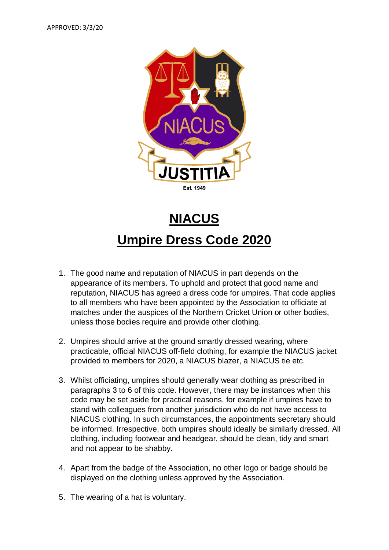

## **NIACUS Umpire Dress Code 2020**

- 1. The good name and reputation of NIACUS in part depends on the appearance of its members. To uphold and protect that good name and reputation, NIACUS has agreed a dress code for umpires. That code applies to all members who have been appointed by the Association to officiate at matches under the auspices of the Northern Cricket Union or other bodies, unless those bodies require and provide other clothing.
- 2. Umpires should arrive at the ground smartly dressed wearing, where practicable, official NIACUS off-field clothing, for example the NIACUS jacket provided to members for 2020, a NIACUS blazer, a NIACUS tie etc.
- 3. Whilst officiating, umpires should generally wear clothing as prescribed in paragraphs 3 to 6 of this code. However, there may be instances when this code may be set aside for practical reasons, for example if umpires have to stand with colleagues from another jurisdiction who do not have access to NIACUS clothing. In such circumstances, the appointments secretary should be informed. Irrespective, both umpires should ideally be similarly dressed. All clothing, including footwear and headgear, should be clean, tidy and smart and not appear to be shabby.
- 4. Apart from the badge of the Association, no other logo or badge should be displayed on the clothing unless approved by the Association.
- 5. The wearing of a hat is voluntary.